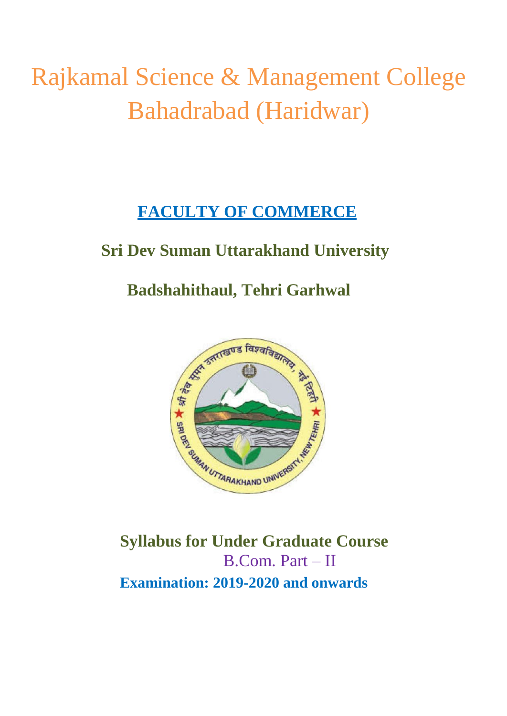# Rajkamal Science & Management College Bahadrabad (Haridwar)

# **FACULTY OF COMMERCE**

# **Sri Dev Suman Uttarakhand University**

# **Badshahithaul, Tehri Garhwal**



**Syllabus for Under Graduate Course**  B.Com. Part – II **Examination: 2019-2020 and onwards**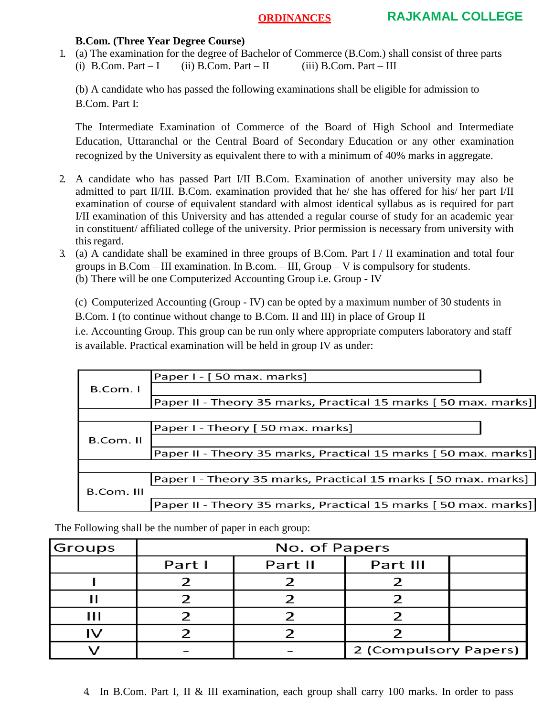#### **B.Com. (Three Year Degree Course)**

1. (a) The examination for the degree of Bachelor of Commerce (B.Com.) shall consist of three parts (i) B.Com. Part – I (ii) B.Com. Part – II (iii) B.Com. Part – III

(b) A candidate who has passed the following examinations shall be eligible for admission to B.Com. Part I:

The Intermediate Examination of Commerce of the Board of High School and Intermediate Education, Uttaranchal or the Central Board of Secondary Education or any other examination recognized by the University as equivalent there to with a minimum of 40% marks in aggregate.

- 2. A candidate who has passed Part I/II B.Com. Examination of another university may also be admitted to part II/III. B.Com. examination provided that he/ she has offered for his/ her part I/II examination of course of equivalent standard with almost identical syllabus as is required for part I/II examination of this University and has attended a regular course of study for an academic year in constituent/ affiliated college of the university. Prior permission is necessary from university with this regard.
- 3. (a) A candidate shall be examined in three groups of B.Com. Part I / II examination and total four groups in B.Com – III examination. In B.com. – III, Group –  $V$  is compulsory for students. (b) There will be one Computerized Accounting Group i.e. Group - IV

(c) Computerized Accounting (Group - IV) can be opted by a maximum number of 30 students in B.Com. I (to continue without change to B.Com. II and III) in place of Group II

i.e. Accounting Group. This group can be run only where appropriate computers laboratory and staff is available. Practical examination will be held in group IV as under:

|            | Paper I - [50 max. marks]                                       |
|------------|-----------------------------------------------------------------|
| B.Com. I   |                                                                 |
|            | Paper II - Theory 35 marks, Practical 15 marks [50 max. marks]] |
|            |                                                                 |
|            | Paper I - Theory [50 max. marks]                                |
| B.Com. II  |                                                                 |
|            | Paper II - Theory 35 marks, Practical 15 marks [50 max. marks]] |
|            |                                                                 |
|            | Paper I - Theory 35 marks, Practical 15 marks [ 50 max. marks]  |
| B.Com. III |                                                                 |
|            | Paper II - Theory 35 marks, Practical 15 marks [50 max. marks]  |

The Following shall be the number of paper in each group:

| Groups | No. of Papers |         |                       |  |  |
|--------|---------------|---------|-----------------------|--|--|
|        | Part I        | Part II | Part III              |  |  |
|        |               |         |                       |  |  |
|        |               |         |                       |  |  |
|        |               |         |                       |  |  |
|        |               |         |                       |  |  |
|        |               |         | 2 (Compulsory Papers) |  |  |

4. In B.Com. Part I, II & III examination, each group shall carry 100 marks. In order to pass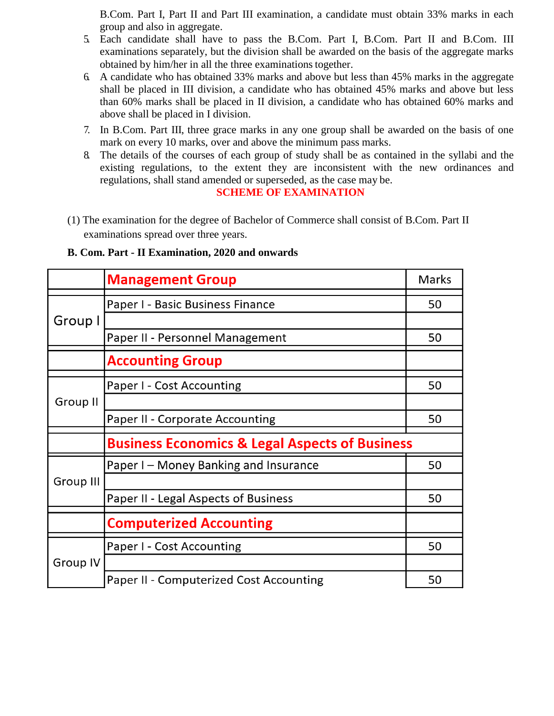B.Com. Part I, Part II and Part III examination, a candidate must obtain 33% marks in each group and also in aggregate.

- 5. Each candidate shall have to pass the B.Com. Part I, B.Com. Part II and B.Com. III examinations separately, but the division shall be awarded on the basis of the aggregate marks obtained by him/her in all the three examinations together.
- 6. A candidate who has obtained 33% marks and above but less than 45% marks in the aggregate shall be placed in III division, a candidate who has obtained 45% marks and above but less than 60% marks shall be placed in II division, a candidate who has obtained 60% marks and above shall be placed in I division.
- 7. In B.Com. Part III, three grace marks in any one group shall be awarded on the basis of one mark on every 10 marks, over and above the minimum pass marks.
- 8. The details of the courses of each group of study shall be as contained in the syllabi and the existing regulations, to the extent they are inconsistent with the new ordinances and regulations, shall stand amended or superseded, as the case may be.

#### **SCHEME OF EXAMINATION**

(1) The examination for the degree of Bachelor of Commerce shall consist of B.Com. Part II examinations spread over three years.

|           | <b>Management Group</b>                                   | Marks |  |
|-----------|-----------------------------------------------------------|-------|--|
|           | Paper I - Basic Business Finance                          |       |  |
| Group I   |                                                           |       |  |
|           | Paper II - Personnel Management                           |       |  |
|           | <b>Accounting Group</b>                                   |       |  |
|           | Paper I - Cost Accounting                                 | 50    |  |
| Group II  |                                                           |       |  |
|           | Paper II - Corporate Accounting                           | 50    |  |
|           | <b>Business Economics &amp; Legal Aspects of Business</b> |       |  |
| Group III | Paper I – Money Banking and Insurance                     |       |  |
|           |                                                           |       |  |
|           | Paper II - Legal Aspects of Business                      |       |  |
|           | <b>Computerized Accounting</b>                            |       |  |
| Group IV  | Paper I - Cost Accounting                                 | 50    |  |
|           |                                                           |       |  |
|           | <b>Paper II - Computerized Cost Accounting</b>            | 50    |  |

#### **B. Com. Part - II Examination, 2020 and onwards**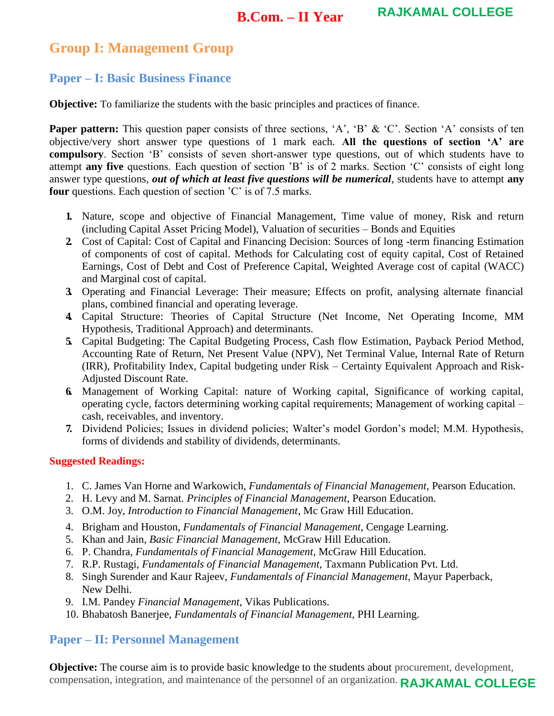# **Group I: Management Group**

# **Paper – I: Basic Business Finance**

**Objective:** To familiarize the students with the basic principles and practices of finance.

Paper pattern: This question paper consists of three sections, 'A', 'B' & 'C'. Section 'A' consists of ten objective/very short answer type questions of 1 mark each. **All the questions of section 'A' are compulsory**. Section 'B' consists of seven short-answer type questions, out of which students have to attempt **any five** questions. Each question of section 'B' is of 2 marks. Section 'C' consists of eight long answer type questions, *out of which at least five questions will be numerical*, students have to attempt **any four** questions. Each question of section 'C' is of 7.5 marks.

- **1.** Nature, scope and objective of Financial Management, Time value of money, Risk and return (including Capital Asset Pricing Model), Valuation of securities – Bonds and Equities
- **2.** Cost of Capital: Cost of Capital and Financing Decision: Sources of long -term financing Estimation of components of cost of capital. Methods for Calculating cost of equity capital, Cost of Retained Earnings, Cost of Debt and Cost of Preference Capital, Weighted Average cost of capital (WACC) and Marginal cost of capital.
- **3.** Operating and Financial Leverage: Their measure; Effects on profit, analysing alternate financial plans, combined financial and operating leverage.
- **4.** Capital Structure: Theories of Capital Structure (Net Income, Net Operating Income, MM Hypothesis, Traditional Approach) and determinants.
- **5.** Capital Budgeting: The Capital Budgeting Process, Cash flow Estimation, Payback Period Method, Accounting Rate of Return, Net Present Value (NPV), Net Terminal Value, Internal Rate of Return (IRR), Profitability Index, Capital budgeting under Risk – Certainty Equivalent Approach and Risk-Adjusted Discount Rate.
- **6.** Management of Working Capital: nature of Working capital, Significance of working capital, operating cycle, factors determining working capital requirements; Management of working capital – cash, receivables, and inventory.
- **7.** Dividend Policies; Issues in dividend policies; Walter's model Gordon's model; M.M. Hypothesis, forms of dividends and stability of dividends, determinants.

#### **Suggested Readings:**

- 1. C. James Van Horne and Warkowich, *Fundamentals of Financial Management*, Pearson Education.
- 2. H. Levy and M. Sarnat*. Principles of Financial Management*, Pearson Education.
- 3. O.M. Joy, *Introduction to Financial Management*, Mc Graw Hill Education.
- 4. Brigham and Houston, *Fundamentals of Financial Management,* Cengage Learning.
- 5. Khan and Jain, *Basic Financial Management*, McGraw Hill Education.
- 6. P. Chandra, *Fundamentals of Financial Management*, McGraw Hill Education.
- 7. R.P. Rustagi, *Fundamentals of Financial Management*, Taxmann Publication Pvt. Ltd.
- 8. Singh Surender and Kaur Rajeev, *Fundamentals of Financial Management*, Mayur Paperback, New Delhi.
- 9. I.M. Pandey *Financial Management*, Vikas Publications.
- 10. Bhabatosh Banerjee, *Fundamentals of Financial Management,* PHI Learning.

# **Paper – II: Personnel Management**

**Objective:** The course aim is to provide basic knowledge to the students about procurement, development, compensation, integration, and maintenance of the personnel of an organization. **RAJKAMAL COLLEGE**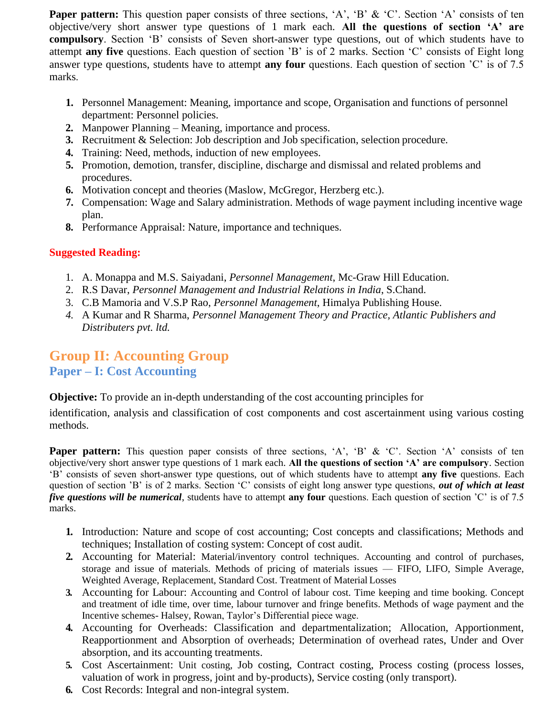**Paper pattern:** This question paper consists of three sections, 'A', 'B' & 'C'. Section 'A' consists of ten objective/very short answer type questions of 1 mark each. **All the questions of section 'A' are compulsory**. Section 'B' consists of Seven short-answer type questions, out of which students have to attempt **any five** questions. Each question of section 'B' is of 2 marks. Section 'C' consists of Eight long answer type questions, students have to attempt **any four** questions. Each question of section 'C' is of 7.5 marks.

- **1.** Personnel Management: Meaning, importance and scope, Organisation and functions of personnel department: Personnel policies.
- **2.** Manpower Planning Meaning, importance and process.
- **3.** Recruitment & Selection: Job description and Job specification, selection procedure.
- **4.** Training: Need, methods, induction of new employees.
- **5.** Promotion, demotion, transfer, discipline, discharge and dismissal and related problems and procedures.
- **6.** Motivation concept and theories (Maslow, McGregor, Herzberg etc.).
- **7.** Compensation: Wage and Salary administration. Methods of wage payment including incentive wage plan.
- **8.** Performance Appraisal: Nature, importance and techniques.

# **Suggested Reading:**

- 1. A. Monappa and M.S. Saiyadani, *Personnel Management*, Mc-Graw Hill Education.
- 2. R.S Davar, *Personnel Management and Industrial Relations in India*, S.Chand.
- 3. C.B Mamoria and V.S.P Rao, *Personnel Management*, Himalya Publishing House.
- *4.* A Kumar and R Sharma, *Personnel Management Theory and Practice, Atlantic Publishers and Distributers pvt. ltd.*

# **Group II: Accounting Group Paper – I: Cost Accounting**

**Objective:** To provide an in-depth understanding of the cost accounting principles for

identification, analysis and classification of cost components and cost ascertainment using various costing methods.

**Paper pattern:** This question paper consists of three sections, 'A', 'B' & 'C'. Section 'A' consists of ten objective/very short answer type questions of 1 mark each. **All the questions of section 'A' are compulsory**. Section ‗B' consists of seven short-answer type questions, out of which students have to attempt **any five** questions. Each question of section 'B' is of 2 marks. Section 'C' consists of eight long answer type questions, *out of which at least five questions will be numerical*, students have to attempt **any four** questions. Each question of section 'C' is of 7.5 marks.

- **1.** Introduction: Nature and scope of cost accounting; Cost concepts and classifications; Methods and techniques; Installation of costing system: Concept of cost audit.
- **2.** Accounting for Material: Material/inventory control techniques. Accounting and control of purchases, storage and issue of materials. Methods of pricing of materials issues — FIFO, LIFO, Simple Average, Weighted Average, Replacement, Standard Cost. Treatment of Material Losses
- **3.** Accounting for Labour: Accounting and Control of labour cost. Time keeping and time booking. Concept and treatment of idle time, over time, labour turnover and fringe benefits. Methods of wage payment and the Incentive schemes- Halsey, Rowan, Taylor's Differential piece wage.
- **4.** Accounting for Overheads: Classification and departmentalization; Allocation, Apportionment, Reapportionment and Absorption of overheads; Determination of overhead rates, Under and Over absorption, and its accounting treatments.
- **5.** Cost Ascertainment: Unit costing, Job costing, Contract costing, Process costing (process losses, valuation of work in progress, joint and by-products), Service costing (only transport).
- **6.** Cost Records: Integral and non-integral system.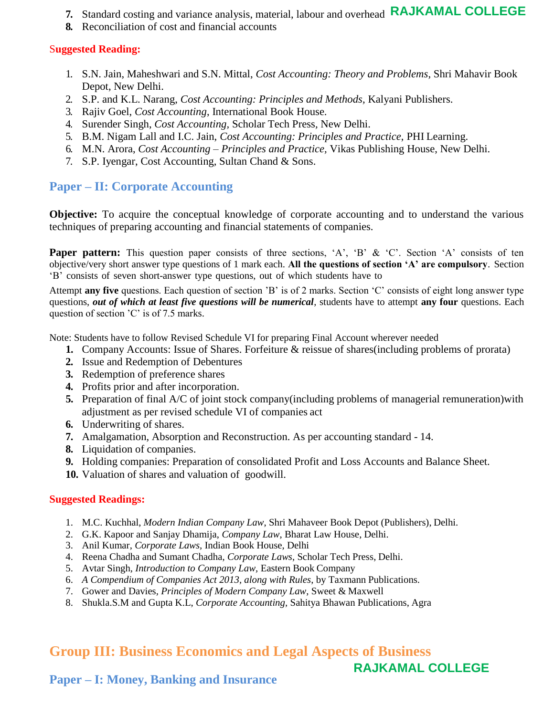- **7.** Standard costing and variance analysis, material, labour and overhead **RAJKAMAL COLLEGE**
- **8.** Reconciliation of cost and financial accounts

### S**uggested Reading:**

- 1. S.N. Jain, Maheshwari and S.N. Mittal, *Cost Accounting: Theory and Problems*, Shri Mahavir Book Depot, New Delhi.
- 2. S.P. and K.L. Narang, *Cost Accounting: Principles and Methods,* Kalyani Publishers.
- 3. Rajiv Goel, *Cost Accounting*, International Book House.
- 4. Surender Singh, *Cost Accounting,* Scholar Tech Press*,* New Delhi.
- 5. B.M. Nigam Lall and I.C. Jain, *Cost Accounting: Principles and Practice*, PHI Learning.
- 6. M.N. Arora, *Cost Accounting – Principles and Practice,* Vikas Publishing House, New Delhi.
- 7. S.P. Iyengar, Cost Accounting, Sultan Chand & Sons.

# **Paper – II: Corporate Accounting**

**Objective:** To acquire the conceptual knowledge of corporate accounting and to understand the various techniques of preparing accounting and financial statements of companies.

**Paper pattern:** This question paper consists of three sections, 'A', 'B' & 'C'. Section 'A' consists of ten objective/very short answer type questions of 1 mark each. **All the questions of section 'A' are compulsory**. Section ‗B' consists of seven short-answer type questions, out of which students have to

Attempt **any five** questions. Each question of section 'B' is of 2 marks. Section 'C' consists of eight long answer type questions, *out of which at least five questions will be numerical*, students have to attempt **any four** questions. Each question of section 'C' is of 7.5 marks.

Note: Students have to follow Revised Schedule VI for preparing Final Account wherever needed

- **1.** Company Accounts: Issue of Shares. Forfeiture & reissue of shares(including problems of prorata)
- **2.** Issue and Redemption of Debentures
- **3.** Redemption of preference shares
- **4.** Profits prior and after incorporation.
- **5.** Preparation of final A/C of joint stock company(including problems of managerial remuneration)with adjustment as per revised schedule VI of companies act
- **6.** Underwriting of shares.
- **7.** Amalgamation, Absorption and Reconstruction. As per accounting standard 14.
- **8.** Liquidation of companies.
- **9.** Holding companies: Preparation of consolidated Profit and Loss Accounts and Balance Sheet.
- **10.** Valuation of shares and valuation of goodwill.

### **Suggested Readings:**

- 1. M.C. Kuchhal, *Modern Indian Company Law*, Shri Mahaveer Book Depot (Publishers), Delhi.
- 2. G.K. Kapoor and Sanjay Dhamija, *Company Law*, Bharat Law House, Delhi.
- 3. Anil Kumar, *Corporate Laws,* Indian Book House, Delhi
- 4. Reena Chadha and Sumant Chadha, *Corporate Laws*, Scholar Tech Press, Delhi.
- 5. Avtar Singh*, Introduction to Company Law,* Eastern Book Company
- 6. *A Compendium of Companies Act 2013, along with Rules*, by Taxmann Publications.
- 7. Gower and Davies, *Principles of Modern Company Law*, Sweet & Maxwell
- 8. Shukla.S.M and Gupta K.L, *Corporate Accounting,* Sahitya Bhawan Publications, Agra

# **Group III: Business Economics and Legal Aspects of Business**

# **RAJKAMAL COLLEGE**

# **Paper – I: Money, Banking and Insurance**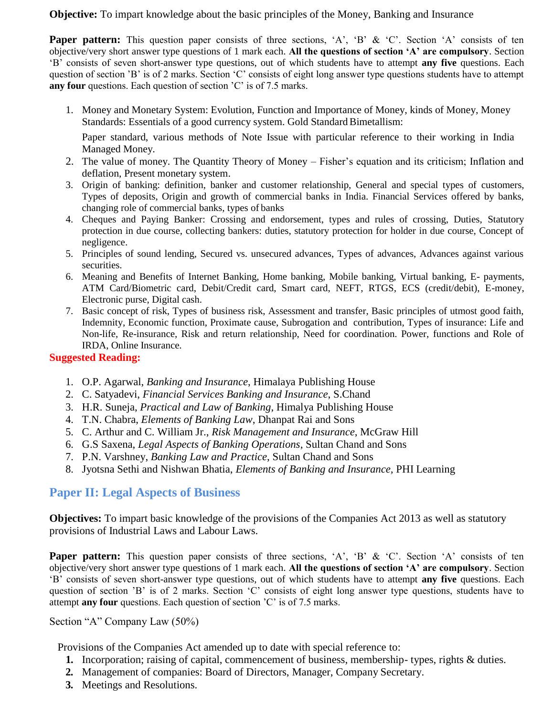**Objective:** To impart knowledge about the basic principles of the Money, Banking and Insurance

**Paper pattern:** This question paper consists of three sections, 'A', 'B' & 'C'. Section 'A' consists of ten objective/very short answer type questions of 1 mark each. **All the questions of section 'A' are compulsory**. Section ‗B' consists of seven short-answer type questions, out of which students have to attempt **any five** questions. Each question of section 'B' is of 2 marks. Section 'C' consists of eight long answer type questions students have to attempt **any four** questions. Each question of section 'C' is of 7.5 marks.

1. Money and Monetary System: Evolution, Function and Importance of Money, kinds of Money, Money Standards: Essentials of a good currency system. Gold Standard Bimetallism:

Paper standard, various methods of Note Issue with particular reference to their working in India Managed Money.

- 2. The value of money. The Quantity Theory of Money Fisher's equation and its criticism; Inflation and deflation, Present monetary system.
- 3. Origin of banking: definition, banker and customer relationship, General and special types of customers, Types of deposits, Origin and growth of commercial banks in India. Financial Services offered by banks, changing role of commercial banks, types of banks
- 4. Cheques and Paying Banker: Crossing and endorsement, types and rules of crossing, Duties, Statutory protection in due course, collecting bankers: duties, statutory protection for holder in due course, Concept of negligence.
- 5. Principles of sound lending, Secured vs. unsecured advances, Types of advances, Advances against various securities.
- 6. Meaning and Benefits of Internet Banking, Home banking, Mobile banking, Virtual banking, E- payments, ATM Card/Biometric card, Debit/Credit card, Smart card, NEFT, RTGS, ECS (credit/debit), E-money, Electronic purse, Digital cash.
- 7. Basic concept of risk, Types of business risk, Assessment and transfer, Basic principles of utmost good faith, Indemnity, Economic function, Proximate cause, Subrogation and contribution, Types of insurance: Life and Non-life, Re-insurance, Risk and return relationship, Need for coordination. Power, functions and Role of IRDA, Online Insurance.

#### **Suggested Reading:**

- 1. O.P. Agarwal, *Banking and Insurance*, Himalaya Publishing House
- 2. C. Satyadevi, *Financial Services Banking and Insurance*, S.Chand
- 3. H.R. Suneja, *Practical and Law of Banking*, Himalya Publishing House
- 4. T.N. Chabra, *Elements of Banking Law*, Dhanpat Rai and Sons
- 5. C. Arthur and C. William Jr., *Risk Management and Insurance*, McGraw Hill
- 6. G.S Saxena, *Legal Aspects of Banking Operations*, Sultan Chand and Sons
- 7. P.N. Varshney, *Banking Law and Practice*, Sultan Chand and Sons
- 8. Jyotsna Sethi and Nishwan Bhatia, *Elements of Banking and Insurance,* PHI Learning

### **Paper II: Legal Aspects of Business**

**Objectives:** To impart basic knowledge of the provisions of the Companies Act 2013 as well as statutory provisions of Industrial Laws and Labour Laws.

**Paper pattern:** This question paper consists of three sections, 'A', 'B' & 'C'. Section 'A' consists of ten objective/very short answer type questions of 1 mark each. **All the questions of section 'A' are compulsory**. Section ‗B' consists of seven short-answer type questions, out of which students have to attempt **any five** questions. Each question of section 'B' is of 2 marks. Section 'C' consists of eight long answer type questions, students have to attempt **any four** questions. Each question of section 'C' is of 7.5 marks.

#### Section "A" Company Law  $(50\%)$

Provisions of the Companies Act amended up to date with special reference to:

- **1.** Incorporation; raising of capital, commencement of business, membership- types, rights & duties.
- **2.** Management of companies: Board of Directors, Manager, Company Secretary.
- **3.** Meetings and Resolutions.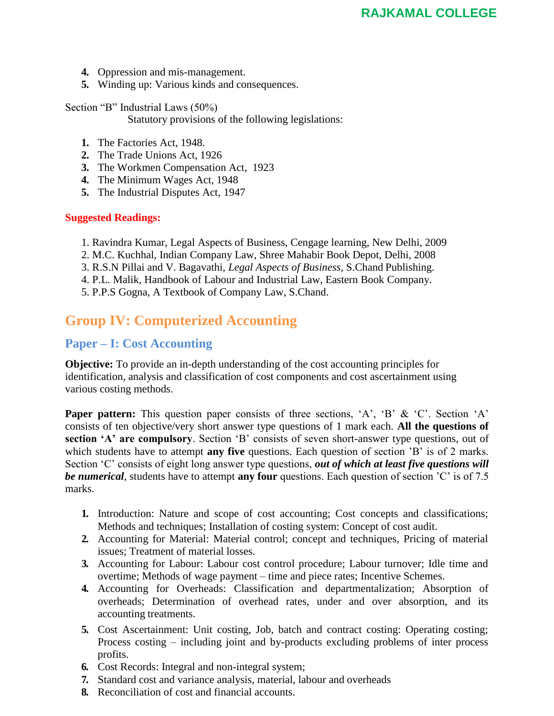- **4.** Oppression and mis-management.
- **5.** Winding up: Various kinds and consequences.

Section "B" Industrial Laws  $(50\%)$ Statutory provisions of the following legislations:

- **1.** The Factories Act, 1948.
- **2.** The Trade Unions Act, 1926
- **3.** The Workmen Compensation Act, 1923
- **4.** The Minimum Wages Act, 1948
- **5.** The Industrial Disputes Act, 1947

#### **Suggested Readings:**

- 1. Ravindra Kumar, Legal Aspects of Business, Cengage learning, New Delhi, 2009
- 2. M.C. Kuchhal, Indian Company Law, Shree Mahabir Book Depot, Delhi, 2008
- 3. R.S.N Pillai and V. Bagavathi, *Legal Aspects of Business,* S.Chand Publishing.
- 4. P.L. Malik, Handbook of Labour and Industrial Law, Eastern Book Company.
- 5. P.P.S Gogna, A Textbook of Company Law, S.Chand.

# **Group IV: Computerized Accounting**

# **Paper – I: Cost Accounting**

**Objective:** To provide an in-depth understanding of the cost accounting principles for identification, analysis and classification of cost components and cost ascertainment using various costing methods.

**Paper pattern:** This question paper consists of three sections, 'A', 'B' & 'C'. Section 'A' consists of ten objective/very short answer type questions of 1 mark each. **All the questions of**  section 'A' are compulsory. Section 'B' consists of seven short-answer type questions, out of which students have to attempt **any five** questions. Each question of section 'B' is of 2 marks. Section <sup>C</sup> consists of eight long answer type questions, *out of which at least five questions will be numerical*, students have to attempt **any four** questions. Each question of section 'C' is of 7.5 marks.

- **1.** Introduction: Nature and scope of cost accounting; Cost concepts and classifications; Methods and techniques; Installation of costing system: Concept of cost audit.
- **2.** Accounting for Material: Material control; concept and techniques, Pricing of material issues; Treatment of material losses.
- **3.** Accounting for Labour: Labour cost control procedure; Labour turnover; Idle time and overtime; Methods of wage payment – time and piece rates; Incentive Schemes.
- **4.** Accounting for Overheads: Classification and departmentalization; Absorption of overheads; Determination of overhead rates, under and over absorption, and its accounting treatments.
- **5.** Cost Ascertainment: Unit costing, Job, batch and contract costing: Operating costing; Process costing – including joint and by-products excluding problems of inter process profits.
- **6.** Cost Records: Integral and non-integral system;
- **7.** Standard cost and variance analysis, material, labour and overheads
- **8.** Reconciliation of cost and financial accounts.